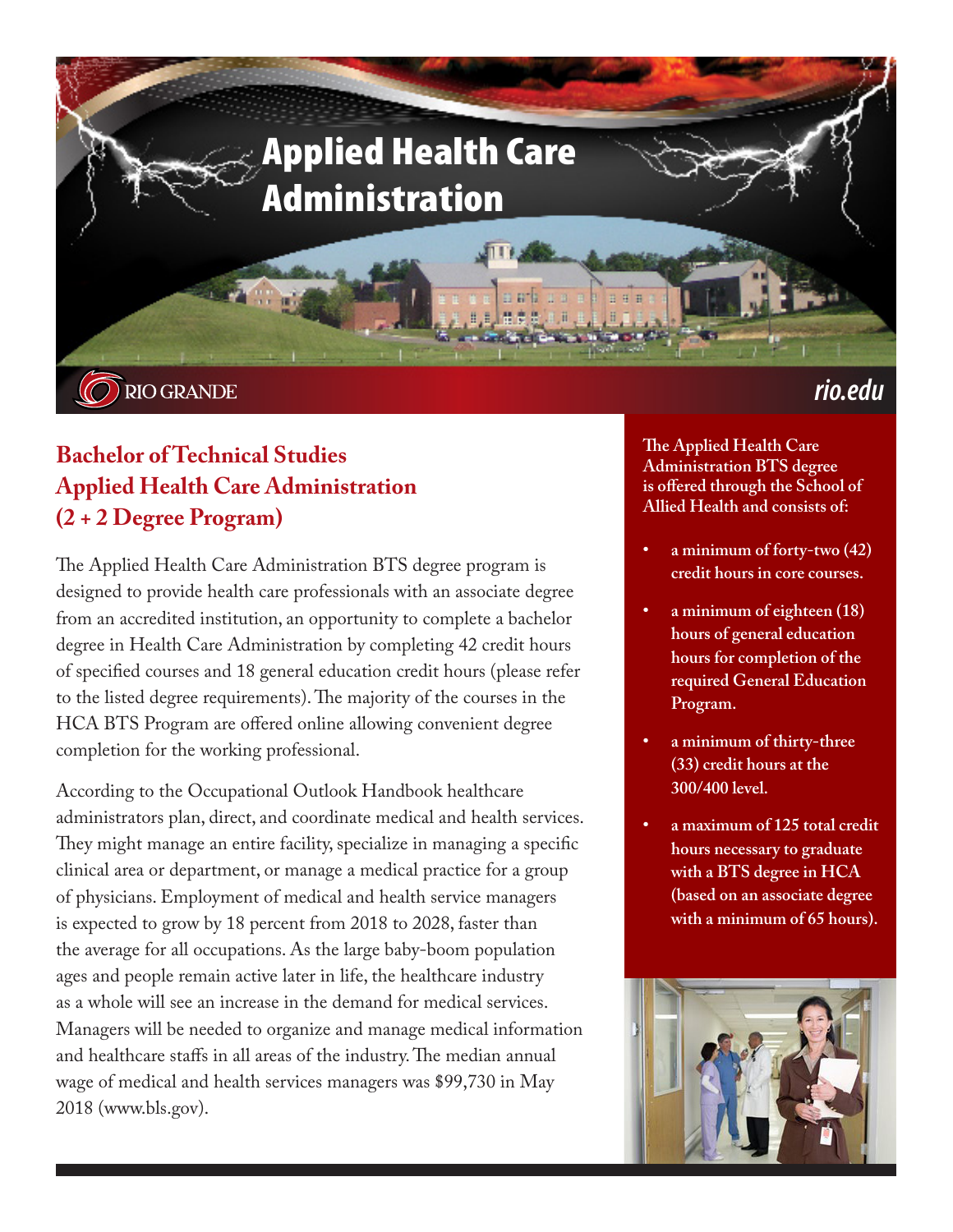

# **Bachelor of Technical Studies Applied Health Care Administration (2 + 2 Degree Program)**

The Applied Health Care Administration BTS degree program is designed to provide health care professionals with an associate degree from an accredited institution, an opportunity to complete a bachelor degree in Health Care Administration by completing 42 credit hours of specified courses and 18 general education credit hours (please refer to the listed degree requirements). The majority of the courses in the HCA BTS Program are offered online allowing convenient degree completion for the working professional.

According to the Occupational Outlook Handbook healthcare administrators plan, direct, and coordinate medical and health services. They might manage an entire facility, specialize in managing a specific clinical area or department, or manage a medical practice for a group of physicians. Employment of medical and health service managers is expected to grow by 18 percent from 2018 to 2028, faster than the average for all occupations. As the large baby-boom population ages and people remain active later in life, the healthcare industry as a whole will see an increase in the demand for medical services. Managers will be needed to organize and manage medical information and healthcare staffs in all areas of the industry. The median annual wage of medical and health services managers was \$99,730 in May 2018 (www.bls.gov).

**The Applied Health Care Administration BTS degree is offered through the School of Allied Health and consists of:**

- **• a minimum of forty-two (42) credit hours in core courses.**
- **• a minimum of eighteen (18) hours of general education hours for completion of the required General Education Program.**
- **• a minimum of thirty-three (33) credit hours at the 300/400 level.**
- **• a maximum of 125 total credit hours necessary to graduate with a BTS degree in HCA (based on an associate degree with a minimum of 65 hours).**